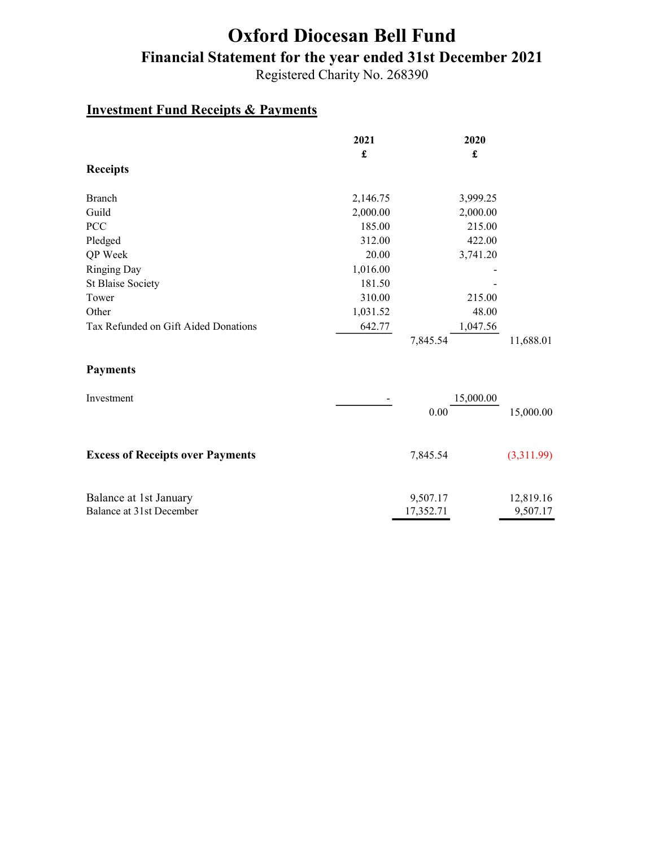# Oxford Diocesan Bell Fund Financial Statement for the year ended 31st December 2021

Registered Charity No. 268390

#### Investment Fund Receipts & Payments

|                                      | 2021     | 2020     |           |
|--------------------------------------|----------|----------|-----------|
|                                      | £        | £        |           |
| <b>Receipts</b>                      |          |          |           |
|                                      |          |          |           |
| Branch                               | 2,146.75 | 3,999.25 |           |
| Guild                                | 2,000.00 | 2,000.00 |           |
| <b>PCC</b>                           | 185.00   | 215.00   |           |
| Pledged                              | 312.00   | 422.00   |           |
| QP Week                              | 20.00    | 3,741.20 |           |
| <b>Ringing Day</b>                   | 1,016.00 |          |           |
| <b>St Blaise Society</b>             | 181.50   |          |           |
| Tower                                | 310.00   | 215.00   |           |
| Other                                | 1,031.52 | 48.00    |           |
| Tax Refunded on Gift Aided Donations | 642.77   | 1,047.56 |           |
|                                      |          | 7,845.54 | 11,688.01 |

#### Payments

| Investment                              |           | 15,000.00  |
|-----------------------------------------|-----------|------------|
|                                         | 0.00      | 15,000.00  |
|                                         |           |            |
| <b>Excess of Receipts over Payments</b> | 7,845.54  | (3,311.99) |
|                                         |           |            |
| Balance at 1st January                  | 9,507.17  | 12,819.16  |
| Balance at 31st December                | 17,352.71 | 9,507.17   |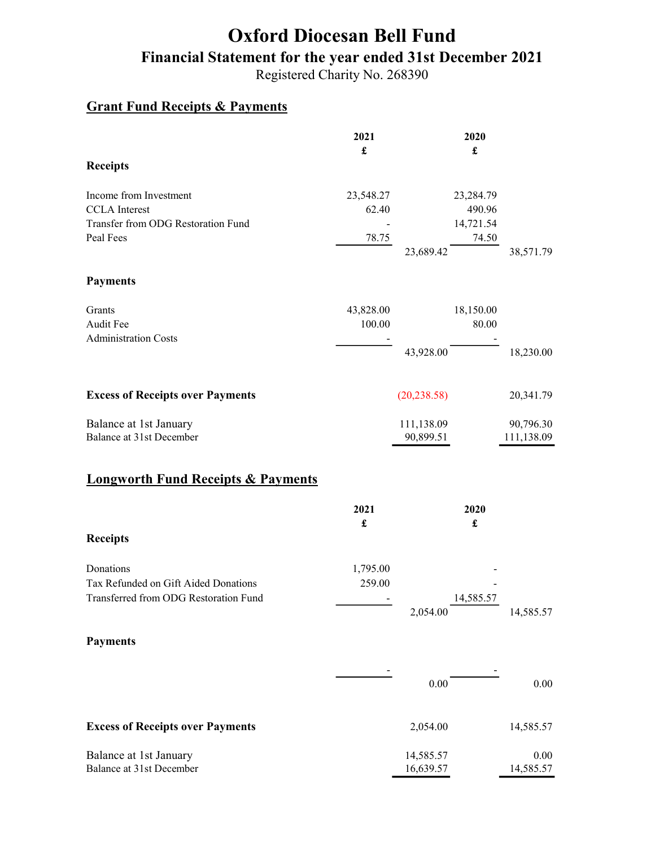# Oxford Diocesan Bell Fund Financial Statement for the year ended 31st December 2021

Registered Charity No. 268390

#### Grant Fund Receipts & Payments

|                                                                                            | 2021<br>$\mathbf f$          |                         | 2020<br>$\pmb{\mathfrak{L}}$     |                         |
|--------------------------------------------------------------------------------------------|------------------------------|-------------------------|----------------------------------|-------------------------|
| <b>Receipts</b>                                                                            |                              |                         |                                  |                         |
| Income from Investment<br><b>CCLA</b> Interest<br>Transfer from ODG Restoration Fund       | 23,548.27<br>62.40           |                         | 23,284.79<br>490.96<br>14,721.54 |                         |
| Peal Fees                                                                                  | 78.75                        | 23,689.42               | 74.50                            | 38,571.79               |
| <b>Payments</b>                                                                            |                              |                         |                                  |                         |
| Grants<br>Audit Fee<br><b>Administration Costs</b>                                         | 43,828.00<br>100.00          |                         | 18,150.00<br>80.00               |                         |
|                                                                                            |                              | 43,928.00               |                                  | 18,230.00               |
| <b>Excess of Receipts over Payments</b>                                                    |                              | (20, 238.58)            |                                  | 20,341.79               |
| Balance at 1st January<br>Balance at 31st December                                         |                              | 111,138.09<br>90,899.51 |                                  | 90,796.30<br>111,138.09 |
| <b>Longworth Fund Receipts &amp; Payments</b>                                              |                              |                         |                                  |                         |
| <b>Receipts</b>                                                                            | 2021<br>$\pmb{\mathfrak{L}}$ |                         | 2020<br>$\pmb{\mathfrak{L}}$     |                         |
|                                                                                            |                              |                         |                                  |                         |
| Donations<br>Tax Refunded on Gift Aided Donations<br>Transferred from ODG Restoration Fund | 1,795.00<br>259.00           | 2,054.00                | 14,585.57                        | 14,585.57               |
| <b>Payments</b>                                                                            |                              |                         |                                  |                         |
|                                                                                            |                              | $0.00\,$                |                                  | $0.00\,$                |
| <b>Excess of Receipts over Payments</b>                                                    |                              | 2,054.00                |                                  | 14,585.57               |
| Balance at 1st January<br>Balance at 31st December                                         |                              | 14,585.57<br>16,639.57  |                                  | 0.00<br>14,585.57       |